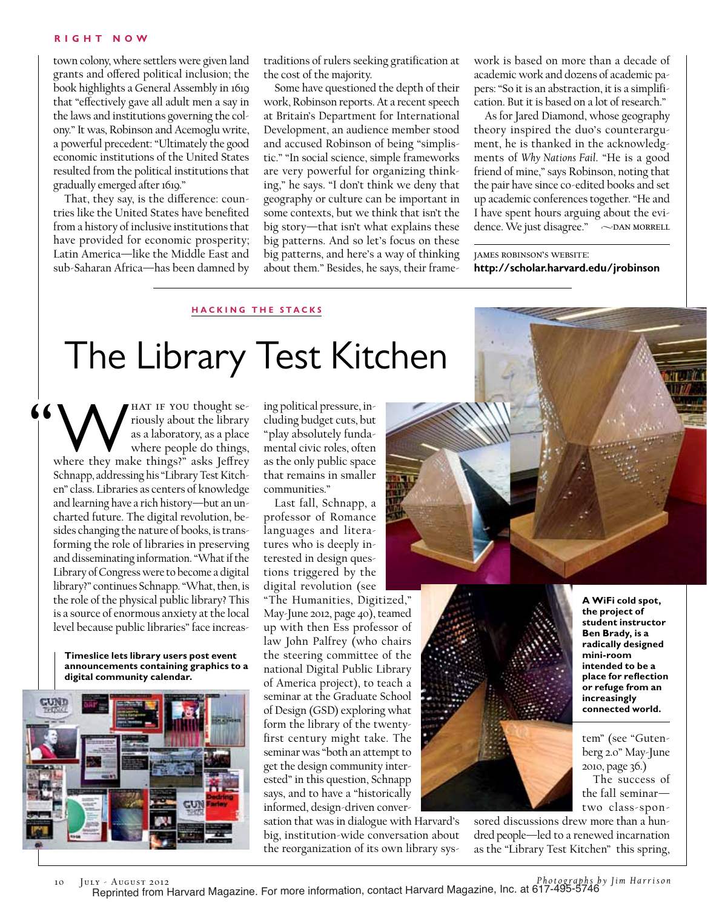#### **R ight Now**

town colony, where settlers were given land grants and offered political inclusion; the book highlights a General Assembly in 1619 that "effectively gave all adult men a say in the laws and institutions governing the colony." It was, Robinson and Acemoglu write, a powerful precedent: "Ultimately the good economic institutions of the United States resulted from the political institutions that gradually emerged after 1619."

That, they say, is the difference: countries like the United States have benefited from a history of inclusive institutions that have provided for economic prosperity; Latin America—like the Middle East and sub-Saharan Africa—has been damned by traditions of rulers seeking gratification at the cost of the majority.

Some have questioned the depth of their work, Robinson reports. At a recent speech at Britain's Department for International Development, an audience member stood and accused Robinson of being "simplistic." "In social science, simple frameworks are very powerful for organizing thinking," he says. "I don't think we deny that geography or culture can be important in some contexts, but we think that isn't the big story—that isn't what explains these big patterns. And so let's focus on these big patterns, and here's a way of thinking about them." Besides, he says, their framework is based on more than a decade of academic work and dozens of academic papers: "So it is an abstraction, it is a simplification. But it is based on a lot of research."

As for Jared Diamond, whose geography theory inspired the duo's counterargument, he is thanked in the acknowledgments of *Why Nations Fail*. "He is a good friend of mine," says Robinson, noting that the pair have since co-edited books and set up academic conferences together. "He and I have spent hours arguing about the evidence. We just disagree."  $\sim$ DAN MORRELL

james robinson's website: **http://scholar.harvard.edu/jrobinson**

### **HACKING THE STACKS**

## The Library Test Kitchen

WHAT IF YOU thought se-<br>
where they make things?" asks Jeffrey riously about the library as a laboratory, as a place where people do things, Schnapp, addressing his "Library Test Kitchen" class. Libraries as centers of knowledge and learning have a rich history—but an uncharted future. The digital revolution, besides changing the nature of books, is transforming the role of libraries in preserving and disseminating information. "What if the Library of Congress were to become a digital library?" continues Schnapp. "What, then, is the role of the physical public library? This is a source of enormous anxiety at the local level because public libraries" face increas-

> **Timeslice lets library users post event announcements containing graphics to a digital community calendar.**



ing political pressure, including budget cuts, but "play absolutely fundamental civic roles, often as the only public space that remains in smaller communities."

Last fall, Schnapp, a professor of Romance languages and literatures who is deeply interested in design questions triggered by the digital revolution (see

"The Humanities, Digitized," May-June 2012, page 40), teamed up with then Ess professor of law John Palfrey (who chairs the steering committee of the national Digital Public Library of America project), to teach a seminar at the Graduate School of Design (GSD) exploring what form the library of the twentyfirst century might take. The seminar was "both an attempt to get the design community interested" in this question, Schnapp says, and to have a "historically informed, design-driven conver-

sation that was in dialogue with Harvard's big, institution-wide conversation about the reorganization of its own library sys-



**A WiFi cold spot, the project of student instructor Ben Brady, is a radically designed mini-room intended to be a place for reflection or refuge from an increasingly connected world.**

tem" (see "Gutenberg 2.0" May-June 2010, page 36.)

The success of the fall seminar two class-spon-

sored discussions drew more than a hundred people—led to a renewed incarnation as the "Library Test Kitchen" this spring,